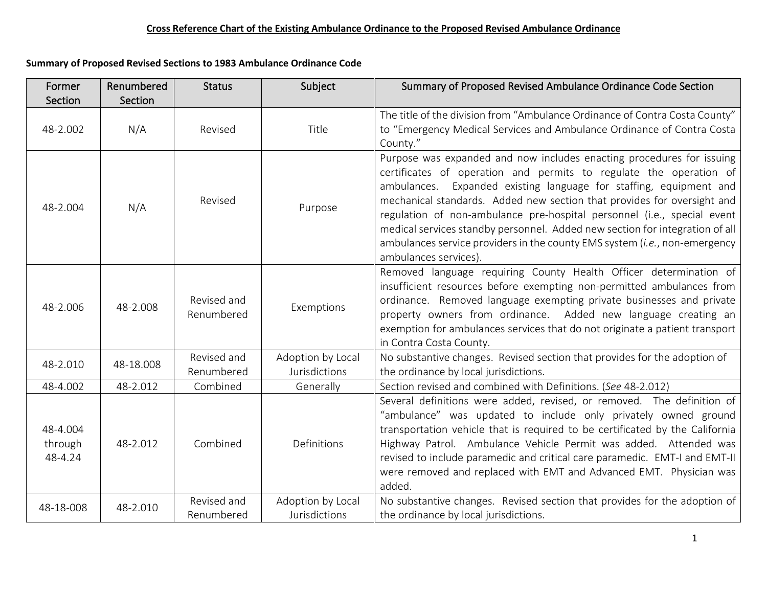|  | Summary of Proposed Revised Sections to 1983 Ambulance Ordinance Code |
|--|-----------------------------------------------------------------------|
|--|-----------------------------------------------------------------------|

| Former<br>Section              | Renumbered<br>Section | <b>Status</b>             | Subject                                   | Summary of Proposed Revised Ambulance Ordinance Code Section                                                                                                                                                                                                                                                                                                                                                                                                                                                                                                      |
|--------------------------------|-----------------------|---------------------------|-------------------------------------------|-------------------------------------------------------------------------------------------------------------------------------------------------------------------------------------------------------------------------------------------------------------------------------------------------------------------------------------------------------------------------------------------------------------------------------------------------------------------------------------------------------------------------------------------------------------------|
| 48-2.002                       | N/A                   | Revised                   | Title                                     | The title of the division from "Ambulance Ordinance of Contra Costa County"<br>to "Emergency Medical Services and Ambulance Ordinance of Contra Costa<br>County."                                                                                                                                                                                                                                                                                                                                                                                                 |
| 48-2.004                       | N/A                   | Revised                   | Purpose                                   | Purpose was expanded and now includes enacting procedures for issuing<br>certificates of operation and permits to regulate the operation of<br>Expanded existing language for staffing, equipment and<br>ambulances.<br>mechanical standards. Added new section that provides for oversight and<br>regulation of non-ambulance pre-hospital personnel (i.e., special event<br>medical services standby personnel. Added new section for integration of all<br>ambulances service providers in the county EMS system (i.e., non-emergency<br>ambulances services). |
| 48-2.006                       | 48-2.008              | Revised and<br>Renumbered | Exemptions                                | Removed language requiring County Health Officer determination of<br>insufficient resources before exempting non-permitted ambulances from<br>ordinance. Removed language exempting private businesses and private<br>property owners from ordinance. Added new language creating an<br>exemption for ambulances services that do not originate a patient transport<br>in Contra Costa County.                                                                                                                                                                    |
| 48-2.010                       | 48-18.008             | Revised and<br>Renumbered | Adoption by Local<br><b>Jurisdictions</b> | No substantive changes. Revised section that provides for the adoption of<br>the ordinance by local jurisdictions.                                                                                                                                                                                                                                                                                                                                                                                                                                                |
| 48-4.002                       | 48-2.012              | Combined                  | Generally                                 | Section revised and combined with Definitions. (See 48-2.012)                                                                                                                                                                                                                                                                                                                                                                                                                                                                                                     |
| 48-4.004<br>through<br>48-4.24 | 48-2.012              | Combined                  | Definitions                               | Several definitions were added, revised, or removed. The definition of<br>"ambulance" was updated to include only privately owned ground<br>transportation vehicle that is required to be certificated by the California<br>Highway Patrol. Ambulance Vehicle Permit was added. Attended was<br>revised to include paramedic and critical care paramedic. EMT-I and EMT-II<br>were removed and replaced with EMT and Advanced EMT. Physician was<br>added.                                                                                                        |
| 48-18-008                      | 48-2.010              | Revised and<br>Renumbered | Adoption by Local<br><b>Jurisdictions</b> | No substantive changes. Revised section that provides for the adoption of<br>the ordinance by local jurisdictions.                                                                                                                                                                                                                                                                                                                                                                                                                                                |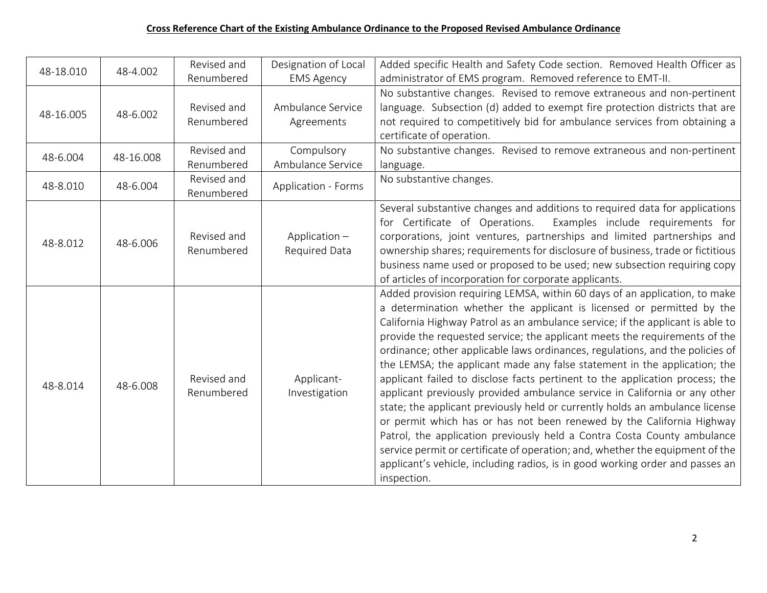| 48-18.010 | 48-4.002  | Revised and<br>Renumbered | Designation of Local<br><b>EMS Agency</b> | Added specific Health and Safety Code section. Removed Health Officer as<br>administrator of EMS program. Removed reference to EMT-II.                                                                                                                                                                                                                                                                                                                                                                                                                                                                                                                                                                                                                                                                                                                                                                                                                                                                                                                               |
|-----------|-----------|---------------------------|-------------------------------------------|----------------------------------------------------------------------------------------------------------------------------------------------------------------------------------------------------------------------------------------------------------------------------------------------------------------------------------------------------------------------------------------------------------------------------------------------------------------------------------------------------------------------------------------------------------------------------------------------------------------------------------------------------------------------------------------------------------------------------------------------------------------------------------------------------------------------------------------------------------------------------------------------------------------------------------------------------------------------------------------------------------------------------------------------------------------------|
| 48-16.005 | 48-6.002  | Revised and<br>Renumbered | Ambulance Service<br>Agreements           | No substantive changes. Revised to remove extraneous and non-pertinent<br>language. Subsection (d) added to exempt fire protection districts that are<br>not required to competitively bid for ambulance services from obtaining a<br>certificate of operation.                                                                                                                                                                                                                                                                                                                                                                                                                                                                                                                                                                                                                                                                                                                                                                                                      |
| 48-6.004  | 48-16.008 | Revised and<br>Renumbered | Compulsory<br>Ambulance Service           | No substantive changes. Revised to remove extraneous and non-pertinent<br>language.                                                                                                                                                                                                                                                                                                                                                                                                                                                                                                                                                                                                                                                                                                                                                                                                                                                                                                                                                                                  |
| 48-8.010  | 48-6.004  | Revised and<br>Renumbered | <b>Application - Forms</b>                | No substantive changes.                                                                                                                                                                                                                                                                                                                                                                                                                                                                                                                                                                                                                                                                                                                                                                                                                                                                                                                                                                                                                                              |
| 48-8.012  | 48-6.006  | Revised and<br>Renumbered | Application $-$<br>Required Data          | Several substantive changes and additions to required data for applications<br>for Certificate of Operations.<br>Examples include requirements for<br>corporations, joint ventures, partnerships and limited partnerships and<br>ownership shares; requirements for disclosure of business, trade or fictitious<br>business name used or proposed to be used; new subsection requiring copy<br>of articles of incorporation for corporate applicants.                                                                                                                                                                                                                                                                                                                                                                                                                                                                                                                                                                                                                |
| 48-8.014  | 48-6.008  | Revised and<br>Renumbered | Applicant-<br>Investigation               | Added provision requiring LEMSA, within 60 days of an application, to make<br>a determination whether the applicant is licensed or permitted by the<br>California Highway Patrol as an ambulance service; if the applicant is able to<br>provide the requested service; the applicant meets the requirements of the<br>ordinance; other applicable laws ordinances, regulations, and the policies of<br>the LEMSA; the applicant made any false statement in the application; the<br>applicant failed to disclose facts pertinent to the application process; the<br>applicant previously provided ambulance service in California or any other<br>state; the applicant previously held or currently holds an ambulance license<br>or permit which has or has not been renewed by the California Highway<br>Patrol, the application previously held a Contra Costa County ambulance<br>service permit or certificate of operation; and, whether the equipment of the<br>applicant's vehicle, including radios, is in good working order and passes an<br>inspection. |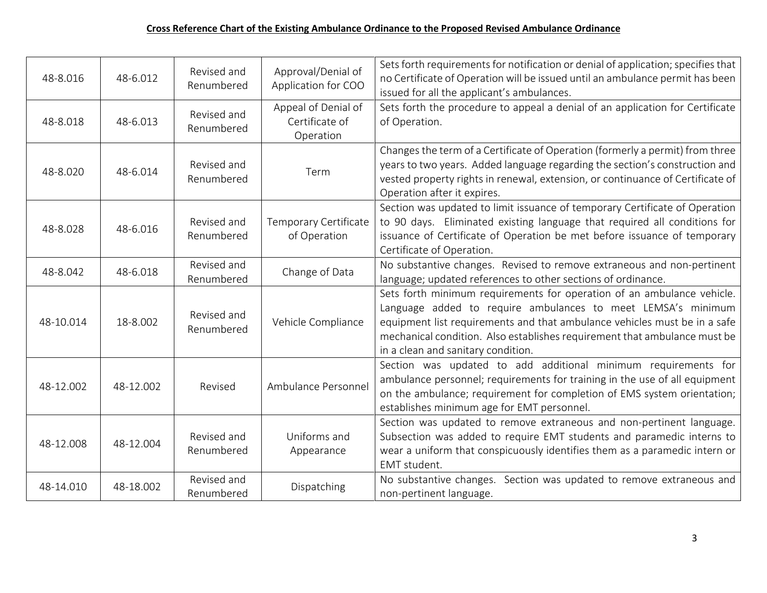| 48-8.016  | 48-6.012  | Revised and<br>Renumbered | Approval/Denial of<br>Application for COO          | Sets forth requirements for notification or denial of application; specifies that<br>no Certificate of Operation will be issued until an ambulance permit has been<br>issued for all the applicant's ambulances.                                                                                                                       |
|-----------|-----------|---------------------------|----------------------------------------------------|----------------------------------------------------------------------------------------------------------------------------------------------------------------------------------------------------------------------------------------------------------------------------------------------------------------------------------------|
| 48-8.018  | 48-6.013  | Revised and<br>Renumbered | Appeal of Denial of<br>Certificate of<br>Operation | Sets forth the procedure to appeal a denial of an application for Certificate<br>of Operation.                                                                                                                                                                                                                                         |
| 48-8.020  | 48-6.014  | Revised and<br>Renumbered | Term                                               | Changes the term of a Certificate of Operation (formerly a permit) from three<br>years to two years. Added language regarding the section's construction and<br>vested property rights in renewal, extension, or continuance of Certificate of<br>Operation after it expires.                                                          |
| 48-8.028  | 48-6.016  | Revised and<br>Renumbered | Temporary Certificate<br>of Operation              | Section was updated to limit issuance of temporary Certificate of Operation<br>to 90 days. Eliminated existing language that required all conditions for<br>issuance of Certificate of Operation be met before issuance of temporary<br>Certificate of Operation.                                                                      |
| 48-8.042  | 48-6.018  | Revised and<br>Renumbered | Change of Data                                     | No substantive changes. Revised to remove extraneous and non-pertinent<br>language; updated references to other sections of ordinance.                                                                                                                                                                                                 |
| 48-10.014 | 18-8.002  | Revised and<br>Renumbered | Vehicle Compliance                                 | Sets forth minimum requirements for operation of an ambulance vehicle.<br>Language added to require ambulances to meet LEMSA's minimum<br>equipment list requirements and that ambulance vehicles must be in a safe<br>mechanical condition. Also establishes requirement that ambulance must be<br>in a clean and sanitary condition. |
| 48-12.002 | 48-12.002 | Revised                   | Ambulance Personnel                                | Section was updated to add additional minimum requirements for<br>ambulance personnel; requirements for training in the use of all equipment<br>on the ambulance; requirement for completion of EMS system orientation;<br>establishes minimum age for EMT personnel.                                                                  |
| 48-12.008 | 48-12.004 | Revised and<br>Renumbered | Uniforms and<br>Appearance                         | Section was updated to remove extraneous and non-pertinent language.<br>Subsection was added to require EMT students and paramedic interns to<br>wear a uniform that conspicuously identifies them as a paramedic intern or<br>EMT student.                                                                                            |
| 48-14.010 | 48-18.002 | Revised and<br>Renumbered | Dispatching                                        | No substantive changes. Section was updated to remove extraneous and<br>non-pertinent language.                                                                                                                                                                                                                                        |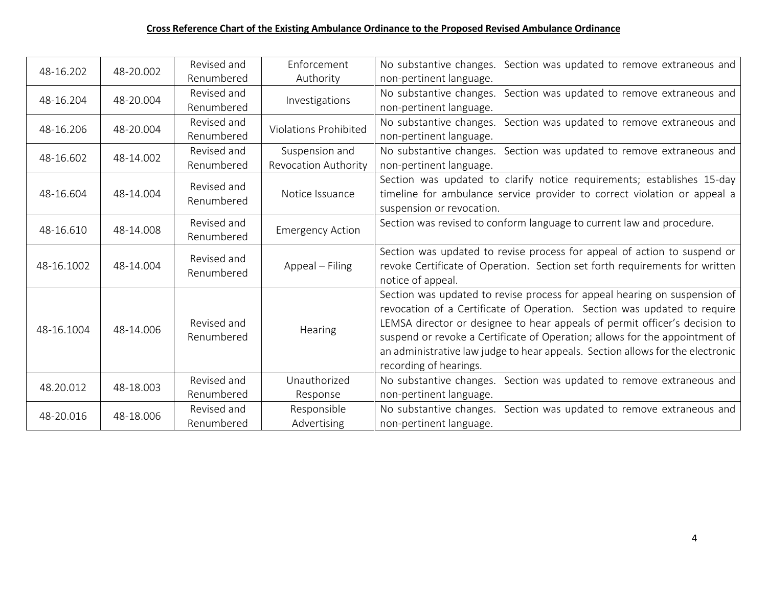| 48-16.202  | 48-20.002 | Revised and | Enforcement                  | No substantive changes. Section was updated to remove extraneous and           |
|------------|-----------|-------------|------------------------------|--------------------------------------------------------------------------------|
|            |           | Renumbered  | Authority                    | non-pertinent language.                                                        |
| 48-16.204  | 48-20.004 | Revised and | Investigations               | No substantive changes. Section was updated to remove extraneous and           |
|            |           | Renumbered  |                              | non-pertinent language.                                                        |
| 48-16.206  | 48-20.004 | Revised and | <b>Violations Prohibited</b> | Section was updated to remove extraneous and<br>No substantive changes.        |
|            |           | Renumbered  |                              | non-pertinent language.                                                        |
| 48-16.602  | 48-14.002 | Revised and | Suspension and               | No substantive changes. Section was updated to remove extraneous and           |
|            |           | Renumbered  | <b>Revocation Authority</b>  | non-pertinent language.                                                        |
|            |           | Revised and |                              | Section was updated to clarify notice requirements; establishes 15-day         |
| 48-16.604  | 48-14.004 | Renumbered  | Notice Issuance              | timeline for ambulance service provider to correct violation or appeal a       |
|            |           |             |                              | suspension or revocation.                                                      |
| 48-16.610  | 48-14.008 | Revised and | <b>Emergency Action</b>      | Section was revised to conform language to current law and procedure.          |
|            |           | Renumbered  |                              |                                                                                |
|            |           | Revised and |                              | Section was updated to revise process for appeal of action to suspend or       |
| 48-16.1002 | 48-14.004 | Renumbered  | Appeal - Filing              | revoke Certificate of Operation. Section set forth requirements for written    |
|            |           |             |                              | notice of appeal.                                                              |
|            |           |             |                              | Section was updated to revise process for appeal hearing on suspension of      |
|            |           |             |                              | revocation of a Certificate of Operation. Section was updated to require       |
| 48-16.1004 | 48-14.006 | Revised and | Hearing                      | LEMSA director or designee to hear appeals of permit officer's decision to     |
|            |           | Renumbered  |                              | suspend or revoke a Certificate of Operation; allows for the appointment of    |
|            |           |             |                              | an administrative law judge to hear appeals. Section allows for the electronic |
|            |           |             |                              | recording of hearings.                                                         |
| 48.20.012  | 48-18.003 | Revised and | Unauthorized                 | No substantive changes. Section was updated to remove extraneous and           |
|            |           | Renumbered  | Response                     | non-pertinent language.                                                        |
| 48-20.016  | 48-18.006 | Revised and | Responsible                  | No substantive changes. Section was updated to remove extraneous and           |
|            |           | Renumbered  | Advertising                  | non-pertinent language.                                                        |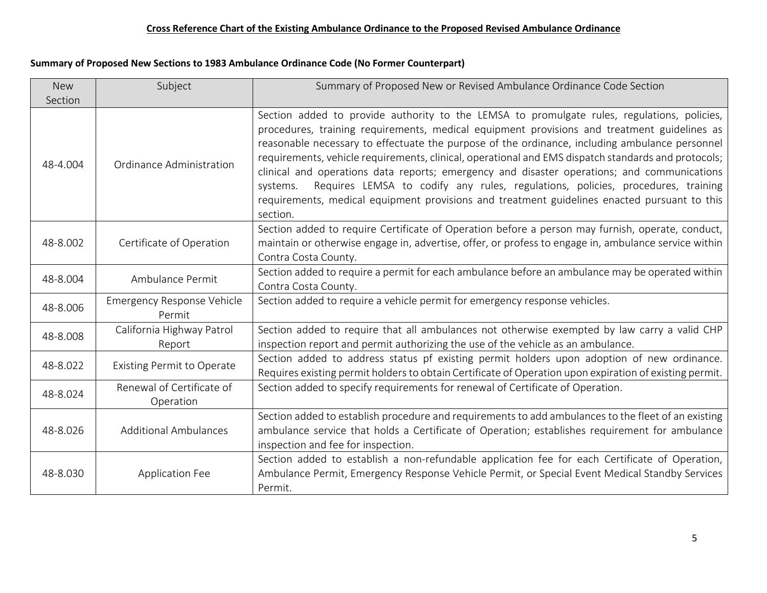# **Summary of Proposed New Sections to 1983 Ambulance Ordinance Code (No Former Counterpart)**

| <b>New</b> | Subject                                     | Summary of Proposed New or Revised Ambulance Ordinance Code Section                                                                                                                                                                                                                                                                                                                                                                                                                                                                                                                                                                                                                                           |
|------------|---------------------------------------------|---------------------------------------------------------------------------------------------------------------------------------------------------------------------------------------------------------------------------------------------------------------------------------------------------------------------------------------------------------------------------------------------------------------------------------------------------------------------------------------------------------------------------------------------------------------------------------------------------------------------------------------------------------------------------------------------------------------|
| Section    |                                             |                                                                                                                                                                                                                                                                                                                                                                                                                                                                                                                                                                                                                                                                                                               |
| 48-4.004   | Ordinance Administration                    | Section added to provide authority to the LEMSA to promulgate rules, regulations, policies,<br>procedures, training requirements, medical equipment provisions and treatment guidelines as<br>reasonable necessary to effectuate the purpose of the ordinance, including ambulance personnel<br>requirements, vehicle requirements, clinical, operational and EMS dispatch standards and protocols;<br>clinical and operations data reports; emergency and disaster operations; and communications<br>Requires LEMSA to codify any rules, regulations, policies, procedures, training<br>systems.<br>requirements, medical equipment provisions and treatment guidelines enacted pursuant to this<br>section. |
| 48-8.002   | Certificate of Operation                    | Section added to require Certificate of Operation before a person may furnish, operate, conduct,<br>maintain or otherwise engage in, advertise, offer, or profess to engage in, ambulance service within<br>Contra Costa County.                                                                                                                                                                                                                                                                                                                                                                                                                                                                              |
| 48-8.004   | Ambulance Permit                            | Section added to require a permit for each ambulance before an ambulance may be operated within<br>Contra Costa County.                                                                                                                                                                                                                                                                                                                                                                                                                                                                                                                                                                                       |
| 48-8.006   | <b>Emergency Response Vehicle</b><br>Permit | Section added to require a vehicle permit for emergency response vehicles.                                                                                                                                                                                                                                                                                                                                                                                                                                                                                                                                                                                                                                    |
| 48-8.008   | California Highway Patrol<br>Report         | Section added to require that all ambulances not otherwise exempted by law carry a valid CHP<br>inspection report and permit authorizing the use of the vehicle as an ambulance.                                                                                                                                                                                                                                                                                                                                                                                                                                                                                                                              |
| 48-8.022   | <b>Existing Permit to Operate</b>           | Section added to address status pf existing permit holders upon adoption of new ordinance.<br>Requires existing permit holders to obtain Certificate of Operation upon expiration of existing permit.                                                                                                                                                                                                                                                                                                                                                                                                                                                                                                         |
| 48-8.024   | Renewal of Certificate of<br>Operation      | Section added to specify requirements for renewal of Certificate of Operation.                                                                                                                                                                                                                                                                                                                                                                                                                                                                                                                                                                                                                                |
| 48-8.026   | <b>Additional Ambulances</b>                | Section added to establish procedure and requirements to add ambulances to the fleet of an existing<br>ambulance service that holds a Certificate of Operation; establishes requirement for ambulance<br>inspection and fee for inspection.                                                                                                                                                                                                                                                                                                                                                                                                                                                                   |
| 48-8.030   | <b>Application Fee</b>                      | Section added to establish a non-refundable application fee for each Certificate of Operation,<br>Ambulance Permit, Emergency Response Vehicle Permit, or Special Event Medical Standby Services<br>Permit.                                                                                                                                                                                                                                                                                                                                                                                                                                                                                                   |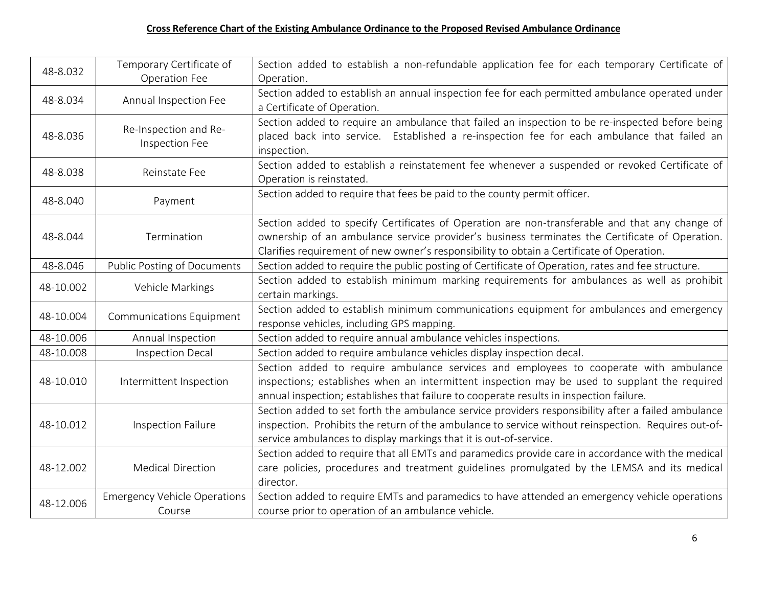| 48-8.032  | Temporary Certificate of            | Section added to establish a non-refundable application fee for each temporary Certificate of       |
|-----------|-------------------------------------|-----------------------------------------------------------------------------------------------------|
|           | Operation Fee                       | Operation.                                                                                          |
| 48-8.034  | Annual Inspection Fee               | Section added to establish an annual inspection fee for each permitted ambulance operated under     |
|           |                                     | a Certificate of Operation.                                                                         |
|           | Re-Inspection and Re-               | Section added to require an ambulance that failed an inspection to be re-inspected before being     |
| 48-8.036  | Inspection Fee                      | placed back into service. Established a re-inspection fee for each ambulance that failed an         |
|           |                                     | inspection.                                                                                         |
| 48-8.038  | Reinstate Fee                       | Section added to establish a reinstatement fee whenever a suspended or revoked Certificate of       |
|           |                                     | Operation is reinstated.                                                                            |
|           |                                     | Section added to require that fees be paid to the county permit officer.                            |
| 48-8.040  | Payment                             |                                                                                                     |
|           |                                     | Section added to specify Certificates of Operation are non-transferable and that any change of      |
| 48-8.044  | Termination                         | ownership of an ambulance service provider's business terminates the Certificate of Operation.      |
|           |                                     | Clarifies requirement of new owner's responsibility to obtain a Certificate of Operation.           |
| 48-8.046  | <b>Public Posting of Documents</b>  | Section added to require the public posting of Certificate of Operation, rates and fee structure.   |
|           | Vehicle Markings                    | Section added to establish minimum marking requirements for ambulances as well as prohibit          |
| 48-10.002 |                                     | certain markings.                                                                                   |
|           |                                     | Section added to establish minimum communications equipment for ambulances and emergency            |
| 48-10.004 | <b>Communications Equipment</b>     | response vehicles, including GPS mapping.                                                           |
| 48-10.006 | Annual Inspection                   | Section added to require annual ambulance vehicles inspections.                                     |
| 48-10.008 | <b>Inspection Decal</b>             | Section added to require ambulance vehicles display inspection decal.                               |
|           |                                     | Section added to require ambulance services and employees to cooperate with ambulance               |
| 48-10.010 | Intermittent Inspection             | inspections; establishes when an intermittent inspection may be used to supplant the required       |
|           |                                     | annual inspection; establishes that failure to cooperate results in inspection failure.             |
|           |                                     | Section added to set forth the ambulance service providers responsibility after a failed ambulance  |
| 48-10.012 | Inspection Failure                  | inspection. Prohibits the return of the ambulance to service without reinspection. Requires out-of- |
|           |                                     | service ambulances to display markings that it is out-of-service.                                   |
|           |                                     | Section added to require that all EMTs and paramedics provide care in accordance with the medical   |
| 48-12.002 | <b>Medical Direction</b>            | care policies, procedures and treatment guidelines promulgated by the LEMSA and its medical         |
|           |                                     | director.                                                                                           |
|           | <b>Emergency Vehicle Operations</b> | Section added to require EMTs and paramedics to have attended an emergency vehicle operations       |
| 48-12.006 | Course                              | course prior to operation of an ambulance vehicle.                                                  |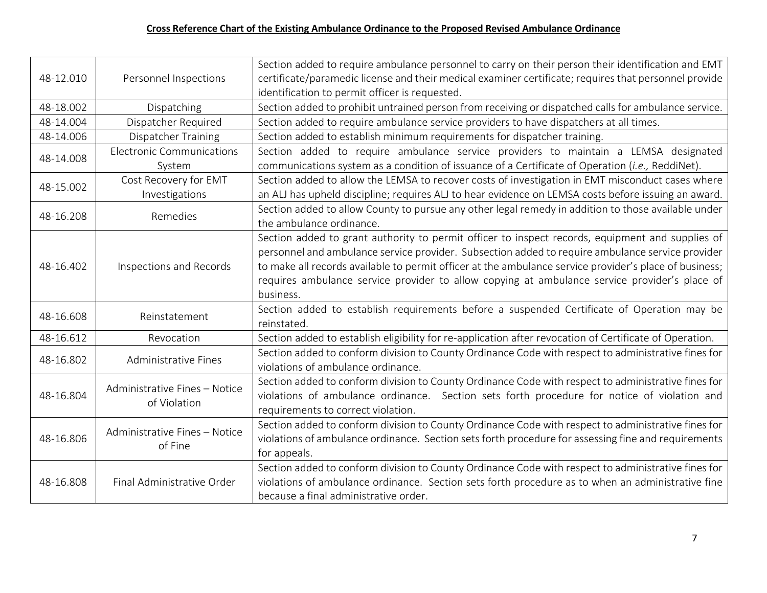|                            |                                                                                            | Section added to require ambulance personnel to carry on their person their identification and EMT      |
|----------------------------|--------------------------------------------------------------------------------------------|---------------------------------------------------------------------------------------------------------|
| 48-12.010                  | Personnel Inspections                                                                      | certificate/paramedic license and their medical examiner certificate; requires that personnel provide   |
|                            |                                                                                            | identification to permit officer is requested.                                                          |
| 48-18.002                  | Dispatching                                                                                | Section added to prohibit untrained person from receiving or dispatched calls for ambulance service.    |
| 48-14.004                  | Dispatcher Required                                                                        | Section added to require ambulance service providers to have dispatchers at all times.                  |
| 48-14.006                  | <b>Dispatcher Training</b>                                                                 | Section added to establish minimum requirements for dispatcher training.                                |
| 48-14.008                  | Electronic Communications                                                                  | Section added to require ambulance service providers to maintain a LEMSA designated                     |
|                            | System                                                                                     | communications system as a condition of issuance of a Certificate of Operation (i.e., ReddiNet).        |
| 48-15.002                  | Cost Recovery for EMT                                                                      | Section added to allow the LEMSA to recover costs of investigation in EMT misconduct cases where        |
|                            | Investigations                                                                             | an ALJ has upheld discipline; requires ALJ to hear evidence on LEMSA costs before issuing an award.     |
| 48-16.208                  | Remedies                                                                                   | Section added to allow County to pursue any other legal remedy in addition to those available under     |
|                            |                                                                                            | the ambulance ordinance.                                                                                |
|                            |                                                                                            | Section added to grant authority to permit officer to inspect records, equipment and supplies of        |
|                            | Inspections and Records                                                                    | personnel and ambulance service provider. Subsection added to require ambulance service provider        |
| 48-16.402                  |                                                                                            | to make all records available to permit officer at the ambulance service provider's place of business;  |
|                            |                                                                                            | requires ambulance service provider to allow copying at ambulance service provider's place of           |
|                            |                                                                                            | business.                                                                                               |
| 48-16.608<br>Reinstatement | Section added to establish requirements before a suspended Certificate of Operation may be |                                                                                                         |
|                            |                                                                                            | reinstated.                                                                                             |
| 48-16.612                  | Revocation                                                                                 | Section added to establish eligibility for re-application after revocation of Certificate of Operation. |
| 48-16.802                  | Administrative Fines                                                                       | Section added to conform division to County Ordinance Code with respect to administrative fines for     |
|                            |                                                                                            | violations of ambulance ordinance.                                                                      |
|                            | Administrative Fines - Notice<br>of Violation                                              | Section added to conform division to County Ordinance Code with respect to administrative fines for     |
| 48-16.804                  |                                                                                            | violations of ambulance ordinance. Section sets forth procedure for notice of violation and             |
|                            |                                                                                            | requirements to correct violation.                                                                      |
|                            | Administrative Fines - Notice                                                              | Section added to conform division to County Ordinance Code with respect to administrative fines for     |
| 48-16.806                  | of Fine                                                                                    | violations of ambulance ordinance. Section sets forth procedure for assessing fine and requirements     |
|                            |                                                                                            | for appeals.                                                                                            |
|                            |                                                                                            | Section added to conform division to County Ordinance Code with respect to administrative fines for     |
| 48-16.808                  | Final Administrative Order                                                                 | violations of ambulance ordinance. Section sets forth procedure as to when an administrative fine       |
|                            |                                                                                            | because a final administrative order.                                                                   |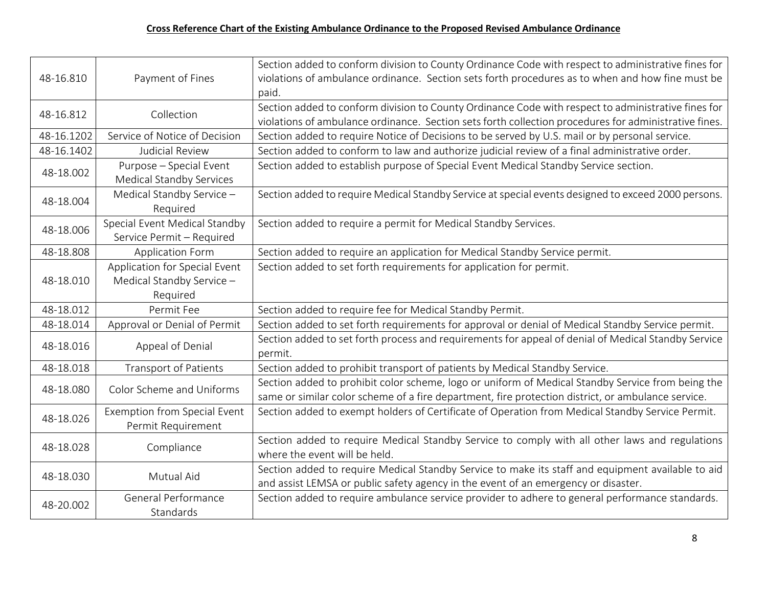| 48-16.810  | Payment of Fines                                                       | Section added to conform division to County Ordinance Code with respect to administrative fines for<br>violations of ambulance ordinance. Section sets forth procedures as to when and how fine must be<br>paid. |
|------------|------------------------------------------------------------------------|------------------------------------------------------------------------------------------------------------------------------------------------------------------------------------------------------------------|
| 48-16.812  | Collection                                                             | Section added to conform division to County Ordinance Code with respect to administrative fines for<br>violations of ambulance ordinance. Section sets forth collection procedures for administrative fines.     |
| 48-16.1202 | Service of Notice of Decision                                          | Section added to require Notice of Decisions to be served by U.S. mail or by personal service.                                                                                                                   |
| 48-16.1402 | Judicial Review                                                        | Section added to conform to law and authorize judicial review of a final administrative order.                                                                                                                   |
| 48-18.002  | Purpose - Special Event<br><b>Medical Standby Services</b>             | Section added to establish purpose of Special Event Medical Standby Service section.                                                                                                                             |
| 48-18.004  | Medical Standby Service -<br>Required                                  | Section added to require Medical Standby Service at special events designed to exceed 2000 persons.                                                                                                              |
| 48-18.006  | Special Event Medical Standby<br>Service Permit - Required             | Section added to require a permit for Medical Standby Services.                                                                                                                                                  |
| 48-18.808  | Application Form                                                       | Section added to require an application for Medical Standby Service permit.                                                                                                                                      |
| 48-18.010  | Application for Special Event<br>Medical Standby Service -<br>Required | Section added to set forth requirements for application for permit.                                                                                                                                              |
| 48-18.012  | Permit Fee                                                             | Section added to require fee for Medical Standby Permit.                                                                                                                                                         |
| 48-18.014  | Approval or Denial of Permit                                           | Section added to set forth requirements for approval or denial of Medical Standby Service permit.                                                                                                                |
| 48-18.016  | Appeal of Denial                                                       | Section added to set forth process and requirements for appeal of denial of Medical Standby Service<br>permit.                                                                                                   |
| 48-18.018  | <b>Transport of Patients</b>                                           | Section added to prohibit transport of patients by Medical Standby Service.                                                                                                                                      |
| 48-18.080  | Color Scheme and Uniforms                                              | Section added to prohibit color scheme, logo or uniform of Medical Standby Service from being the<br>same or similar color scheme of a fire department, fire protection district, or ambulance service.          |
| 48-18.026  | <b>Exemption from Special Event</b><br>Permit Requirement              | Section added to exempt holders of Certificate of Operation from Medical Standby Service Permit.                                                                                                                 |
| 48-18.028  | Compliance                                                             | Section added to require Medical Standby Service to comply with all other laws and regulations<br>where the event will be held.                                                                                  |
| 48-18.030  | Mutual Aid                                                             | Section added to require Medical Standby Service to make its staff and equipment available to aid<br>and assist LEMSA or public safety agency in the event of an emergency or disaster.                          |
| 48-20.002  | General Performance<br>Standards                                       | Section added to require ambulance service provider to adhere to general performance standards.                                                                                                                  |